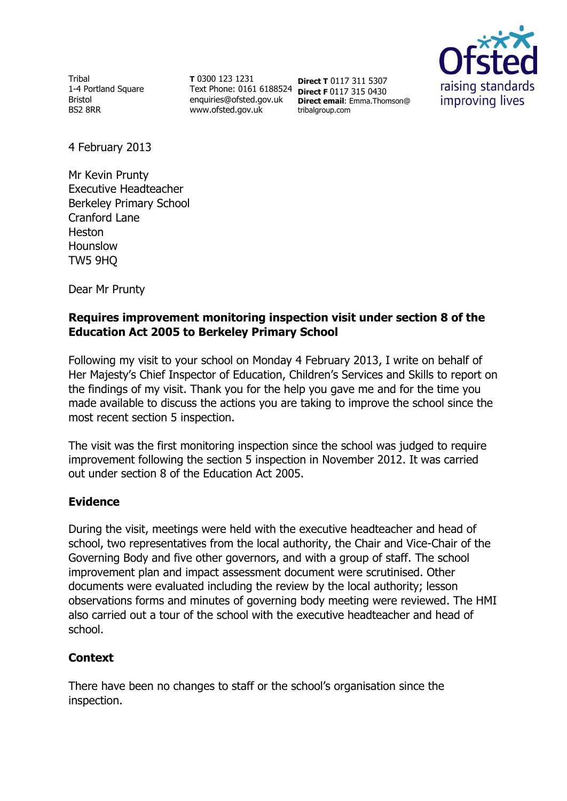Tribal 1-4 Portland Square Bristol BS2 8RR

**T** 0300 123 1231 Text Phone: 0161 6188524 **Direct F** 0117 315 0430 enquiries@ofsted.gov.uk www.ofsted.gov.uk

**Direct T** 0117 311 5307 **Direct email**: Emma.Thomson@ tribalgroup.com



4 February 2013

Mr Kevin Prunty Executive Headteacher Berkeley Primary School Cranford Lane Heston Hounslow TW5 9HQ

Dear Mr Prunty

## **Requires improvement monitoring inspection visit under section 8 of the Education Act 2005 to Berkeley Primary School**

Following my visit to your school on Monday 4 February 2013, I write on behalf of Her Majesty's Chief Inspector of Education, Children's Services and Skills to report on the findings of my visit. Thank you for the help you gave me and for the time you made available to discuss the actions you are taking to improve the school since the most recent section 5 inspection.

The visit was the first monitoring inspection since the school was judged to require improvement following the section 5 inspection in November 2012. It was carried out under section 8 of the Education Act 2005.

## **Evidence**

During the visit, meetings were held with the executive headteacher and head of school, two representatives from the local authority, the Chair and Vice-Chair of the Governing Body and five other governors, and with a group of staff. The school improvement plan and impact assessment document were scrutinised. Other documents were evaluated including the review by the local authority; lesson observations forms and minutes of governing body meeting were reviewed. The HMI also carried out a tour of the school with the executive headteacher and head of school.

# **Context**

There have been no changes to staff or the school's organisation since the inspection.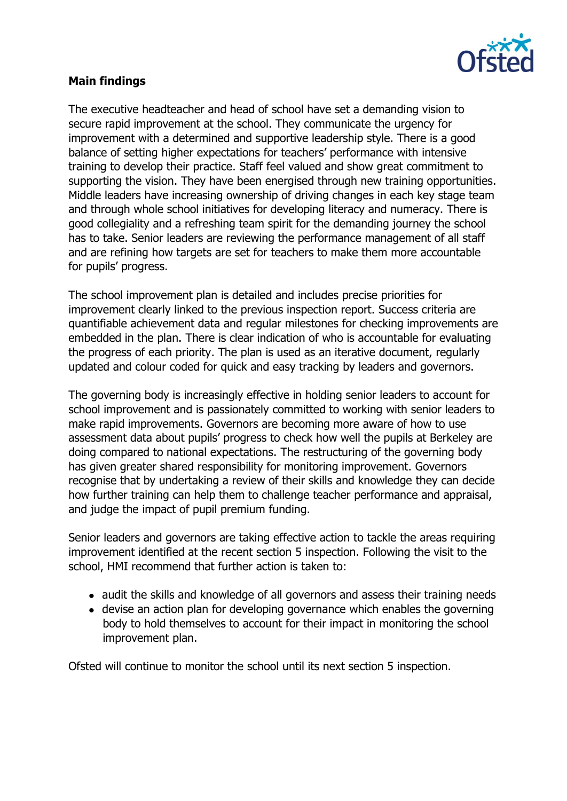

## **Main findings**

The executive headteacher and head of school have set a demanding vision to secure rapid improvement at the school. They communicate the urgency for improvement with a determined and supportive leadership style. There is a good balance of setting higher expectations for teachers' performance with intensive training to develop their practice. Staff feel valued and show great commitment to supporting the vision. They have been energised through new training opportunities. Middle leaders have increasing ownership of driving changes in each key stage team and through whole school initiatives for developing literacy and numeracy. There is good collegiality and a refreshing team spirit for the demanding journey the school has to take. Senior leaders are reviewing the performance management of all staff and are refining how targets are set for teachers to make them more accountable for pupils' progress.

The school improvement plan is detailed and includes precise priorities for improvement clearly linked to the previous inspection report. Success criteria are quantifiable achievement data and regular milestones for checking improvements are embedded in the plan. There is clear indication of who is accountable for evaluating the progress of each priority. The plan is used as an iterative document, regularly updated and colour coded for quick and easy tracking by leaders and governors.

The governing body is increasingly effective in holding senior leaders to account for school improvement and is passionately committed to working with senior leaders to make rapid improvements. Governors are becoming more aware of how to use assessment data about pupils' progress to check how well the pupils at Berkeley are doing compared to national expectations. The restructuring of the governing body has given greater shared responsibility for monitoring improvement. Governors recognise that by undertaking a review of their skills and knowledge they can decide how further training can help them to challenge teacher performance and appraisal, and judge the impact of pupil premium funding.

Senior leaders and governors are taking effective action to tackle the areas requiring improvement identified at the recent section 5 inspection. Following the visit to the school, HMI recommend that further action is taken to:

- audit the skills and knowledge of all governors and assess their training needs
- devise an action plan for developing governance which enables the governing body to hold themselves to account for their impact in monitoring the school improvement plan.

Ofsted will continue to monitor the school until its next section 5 inspection.